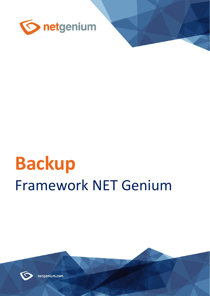

# **Backup** Framework NET Genium



netgenium.com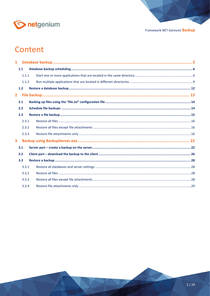

# Content

| $\mathbf{1}$            |       |  |  |
|-------------------------|-------|--|--|
|                         | 1.1   |  |  |
|                         | 1.1.1 |  |  |
|                         | 1.1.2 |  |  |
|                         | 1.2   |  |  |
| $\overline{2}$          |       |  |  |
|                         | 2.1   |  |  |
|                         | 2.2   |  |  |
|                         | 2.3   |  |  |
|                         | 2.3.1 |  |  |
|                         | 2.3.2 |  |  |
|                         | 2.3.3 |  |  |
| $\overline{\mathbf{3}}$ |       |  |  |
|                         | 3.1   |  |  |
|                         | 3.2   |  |  |
|                         | 3.3   |  |  |
|                         | 3.3.1 |  |  |
|                         | 3.3.2 |  |  |
|                         | 3.3.3 |  |  |
|                         | 3.3.4 |  |  |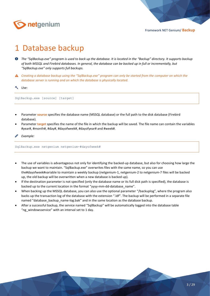

# <span id="page-2-0"></span>1 Database backup

- *The "SqlBackup.exe" program is used to back up the database. It is located in the "Backup" directory. It supports backup of both MSSQL and Firebird databases. In general, the database can be backed up in full or incrementally, but "SqlBackup.exe" only supports full backups.*
- *Creating a database backup using the "SqlBackup.exe" program can only be started from the computer on which the database server is running and on which the database is physically located.*

*Use:*

SqlBackup.exe [source] [target]

- Parameter **source** specifies the database name (MSSQL database) or the full path to the disk database (Firebird database).
- Parameter **target** specifies the name of the file in which the backup will be saved. The file name can contain the variables #year#, #month#, #day#, #dayofweek#, #dayofyear# and #week#.

SqlBackup.exe netgenium netgenium-#dayofweek#

- The use of variables is advantageous not only for identifying the backed-up database, but also for choosing how large the backup we want to maintain. "SqlBackup.exe" overwrites files with the same name, so you can use the#dayofweek#variable to maintain a weekly backup (netgenium-1, netgenium-2 to netgenium-7 files will be backed up, the old backup will be overwritten when a new database is backed up).
- If the destination parameter is not specified (only the database name or its full disk path is specified), the database is backed up to the current location in the format "yyyy-mm-dd-database\_name".
- When backing up the MSSQL database, you can also use the optional parameter "/backuplog", where the program also backs up the transaction log of the database with the extension ".ldf". The backup will be performed in a separate file named "database\_backup\_name-log.bak" and in the same location as the database backup.
- After a successful backup, the service named "SqlBackup" will be automatically logged into the database table "ng windowsservice" with an interval set to 1 day.

*Example:*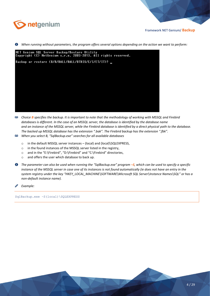

*When running without parameters, the program offers several options depending on the action we want to perform:*



- *Choice <b>B specifies the backup. It is important to note that the methodology of working with MSSQL and Firebird databases is different. In the case of an MSSQL server, the database is identified by the database name and an instance of the MSSQL server, while the Firebird database is identified by a direct physical path to the database. The backed up MSSQL database has the extension ".bak". The Firebird backup has the extension ".fbk".*
- *When you select B, "SqlBackup.exe" searches for all available databases*
	- o in the default MSSQL server instances (local) and (local)\SQLEXPRESS,
	- o in the found instances of the MSSQL server listed in the registry,
	- o and in the "E:\Firebird", "D:\Firebird" and "C:\Firebird" directories,
	- o and offers the user which database to back up.
- *The parameter can also be used when running the "SqlBackup.exe" program –S, which can be used to specify a specific instance of the MSSQL server in case one of its instances is not found automatically (ie does not have an entry in the system registry under the key "HKEY\_LOCAL\_MACHINE\SOFTWARE\Microsoft SQL Server\Instance Names\SQL" or has a non-default instance name).*
- *Example:*

SqlBackup.exe –S(local)\SQLEXPRESS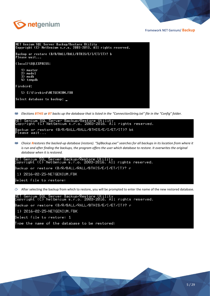



*Elections BTHIS or BT backs up the database that is listed in the "ConnectionString.txt" file in the "Config" folder.*



*Choice Rrestores the backed-up database (restore). "SqlBackup.exe" searches for all backups in its location from where it is run and after finding the backups, the program offers the user which database to restore. It overwrites the original database when it is restored.*



 $\Diamond$  After selecting the backup from which to restore, you will be prompted to enter the name of the new restored database.

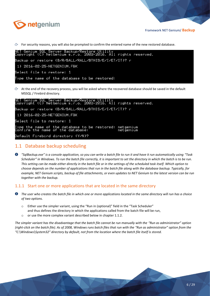

For security reasons, you will also be prompted to confirm the entered name of the new restored database.

| NET Genium SQL Server Backup/Restore Utility<br>Copyright (C) NetGenium s.r.o. 2003–2016. All rights reserved. |
|----------------------------------------------------------------------------------------------------------------|
|                                                                                                                |
| Backup or restore (B/R/BALL/RALL/BTHIS/E/I/ET/IT)? r                                                           |
|                                                                                                                |
| 1) 2016-02-25-NETGENIUM.FBK                                                                                    |
| Select file to restore: 1                                                                                      |
|                                                                                                                |
| Type the name of the database to be restored:                                                                  |
|                                                                                                                |

 $\Leftrightarrow$  At the end of the recovery process, you will be asked where the recovered database should be saved in the default MSSQL / Firebird directory.

| NET Genium SQL Server Backup/Restore Utility<br>Copyright (C) NetGenium s.r.o. 2003–2016. All rights reserved. |
|----------------------------------------------------------------------------------------------------------------|
| Backup or restore (B/R/BALL/RALL/BTHIS/E/I/ET/IT)? r                                                           |
| 1) 2016-02-25-NETGENIUM.FBK                                                                                    |
| Select file to restore: 1                                                                                      |
|                                                                                                                |
| Default Firebird directory (Y/N)?                                                                              |

# <span id="page-5-0"></span>1.1 Database backup scheduling

*"SqlBackup.exe" is a console application, so you can write a batch file to run it and have it run automatically using "Task Scheduler" in Windows. To run the batch file correctly, it is important to set the directory in which the batch is to be run. This setting can be made either directly in the batch file or in the settings of the scheduled task itself. Which option to choose depends on the number of applications that run in the batch file along with the database backup. Typically, for example, NET Genium scripts, backup of file attachments, or even updates to NET Genium to the latest version can be run together with the backup.*

#### <span id="page-5-1"></span>1.1.1 Start one or more applications that are located in the same directory

- *The user who creates the batch file in which one or more applications located in the same directory will run has a choice of two options.*
	- o Either use the simpler variant, using the "Run in (optional)" field in the "Task Scheduler" and thus defines the directory in which the applications called from the batch file will be run,
	- o or use the more complex variant described below in chapter 1.1.2.

*The simpler variant has the disadvantage that the batch file cannot be run manually with the "Run as administrator" option (right-click on the batch file). As of 2008, Windows runs batch files that run with the "Run as administrator" option from the "C:\Windows\System32" directory by default, not from the location where the batch file itself is stored.*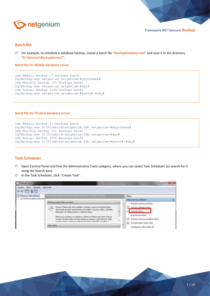

#### **Batch file**

For example, to schedule a database backup, create a batch file "**BackupDatabase.bat**" and save it in the directory "**D:\Services\BackupServer\**".

**Batch file for MSSQL database server**

```
rem Weekly backup (7 backups back)
SqlBackup.exe netgenium netgenium-#dayofweek#
rem Monthly backup (31 backups back)
SqlBackup.exe netgenium netgenium-#day#
rem Annual backup (365 backups back)
SqlBackup.exe netgenium netgenium-#month#-#day#
```
#### **Batch file for Firebird database server**

```
rem Weekly backup (7 backups back)
SqlBackup.exe D:\Firebird\netgenium.fdb netgenium-#dayofweek#
rem Monthly backup (31 backups back)
SqlBackup.exe D:\Firebird\netgenium.fdb netgenium-#day#
rem Annual backup (365 backups back)
SqlBackup.exe D:\Firebird\netgenium.fdb netgenium-#month#-#day#
```
#### **Task Scheduler**

- G Open Control Panel and find the Administrative Tools category, where you can select Task Scheduler (or search for it using the Search box).
- In the Task Scheduler, click "Create Task".

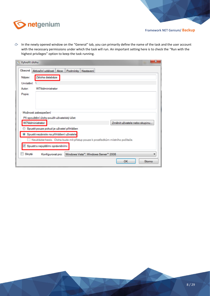

 $\Diamond$  In the newly opened window on the "General" tab, you can primarily define the name of the task and the user account with the necessary permissions under which the task will run. An important setting here is to check the "Run with the highest privileges" option to keep the task running.

| Vytvořit úlohu<br>$\mathbb{L}$ |                                                                                | ×                             |
|--------------------------------|--------------------------------------------------------------------------------|-------------------------------|
| Obecné                         | Aktivační události<br>Akce<br>Podmínky<br>Nastavení                            |                               |
| Název:                         | Záloha databáze                                                                |                               |
| Umístění:                      |                                                                                |                               |
| Autor:                         | W7\Administrator                                                               |                               |
| Popis:                         |                                                                                |                               |
|                                |                                                                                |                               |
|                                |                                                                                |                               |
|                                |                                                                                |                               |
|                                | Možnosti zabezpečení                                                           |                               |
|                                | Při spouštění úlohy použít uživatelský účet:                                   |                               |
|                                | W7Administrator                                                                | Změnit uživatele nebo skupinu |
|                                | Spustit pouze pokud je uživatel přihlášen                                      |                               |
|                                | Spustit nezávisle na přihlášení uživatele                                      |                               |
|                                | Neukládat heslo. Úloha bude mít přístup pouze k prostředkům místního počítače. |                               |
|                                | Spustit s nejvyššími oprávněními                                               |                               |
| Skrytá                         | Windows Vista"", Windows Server" 2008<br>Konfigurovat pro:                     |                               |
|                                |                                                                                | OK<br>Storno                  |

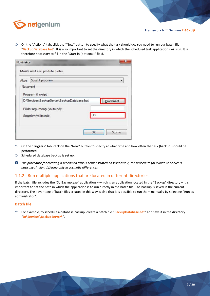



 $\circled{r}$  On the "Actions" tab, click the "New" button to specify what the task should do. You need to run our batch file "**BackupDatabase.bat**". It is also important to set the directory in which the scheduled task applications will run. It is therefore necessary to fill in the "Start in (optional)" field.

| Nová akce |                                             |              |
|-----------|---------------------------------------------|--------------|
|           | Musíte určit akci pro tuto úlohu.           |              |
| Akce:     | Spustit program                             |              |
| Nastavení |                                             |              |
|           | Program či skript:                          |              |
|           | D:\Services\BackupServer\BackupDatabase.bat | Procházet    |
|           | Přidat argumenty (volitelné):               |              |
|           | Spustit v (volitelné):                      | D:V          |
|           |                                             |              |
|           |                                             | OK<br>Storno |
|           |                                             |              |

- $\Diamond$  On the "Triggers" tab, click on the "New" button to specify at what time and how often the task (backup) should be performed.
- $\circled{c}$  Scheduled database backup is set up.
- *The procedure for creating a scheduled task is demonstrated on Windows 7, the procedure for Windows Server is basically similar, differing only in cosmetic differences.*

#### <span id="page-8-0"></span>1.1.2 Run multiple applications that are located in different directories

If the batch file includes the "SqlBackup.exe" application – which is an application located in the "Backup" directory – it is important to set the path in which the application is to run directly in the batch file. The backup is saved in the current directory. The advantage of batch files created in this way is also that it is possible to run them manually by selecting "Run as administrator".

#### **Batch file**

For example, to schedule a database backup, create a batch file "**BackupDatabase.bat**" and save it in the directory "**D:\Services\BackupServer\**".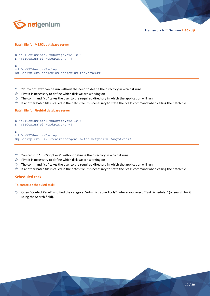

#### **Batch file for MSSQL database server**

```
D:\NETGenium\bin\RunScript.exe 1075
D:\NETGenium\bin\Update.exe -j
D:
cd D:\NETGenium\Backup
SqlBackup.exe netgenium netgenium-#dayofweek#
```
- $\Diamond$  "RunScript.exe" can be run without the need to define the directory in which it runs
- First it is necessary to define which disk we are working on
- $\circled{c}$  The command "cd" takes the user to the required directory in which the application will run
- $\circ$  If another batch file is called in the batch file, it is necessary to state the "call" command when calling the batch file.

#### **Batch file for Firebird database server**

```
D:\NETGenium\bin\RunScript.exe 1075
D:\NETGenium\bin\Update.exe -j
D:
cd D:\NETGenium\Backup
SqlBackup.exe D:\Firebird\netgenium.fdb netgenium-#dayofweek#
```
- $\Diamond$  You can run "RunScript.exe" without defining the directory in which it runs
- First it is necessary to define which disk we are working on
- $\circlearrowleft$  The command "cd" takes the user to the required directory in which the application will run
- $\Diamond$  If another batch file is called in the batch file, it is necessary to state the "call" command when calling the batch file.

#### **Scheduled task**

#### **To create a scheduled task:**

Open "Control Panel" and find the category "Administrative Tools", where you select "Task Scheduler" (or search for it using the Search field).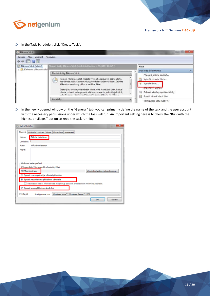

In the Task Scheduler, click "Create Task".



ᠿ In the newly opened window on the "General" tab, you can primarily define the name of the task and the user account with the necessary permissions under which the task will run. An important setting here is to check the "Run with the highest privileges" option to keep the task running.

| Obecné<br>Aktivační události   Akce<br>Podmínky Nastavení<br>Záloha databáze<br>Název:<br><b>Umístění:</b><br>W7Administrator<br>Autor:<br>Popis:<br>Možnosti zabezpečení<br>Při spouštění úlohy použít uživatelský účet:<br>W7\Administrator<br>Změnit uživatele nebo skupinu.<br>Spustit pouze pokud je uživatel přihlášen<br><sup>®</sup> Spustit nezávisle na přihlášení uživatele<br>Neukládat heslo. Úloha bude mít přístup pouze k prostředkům místního počítače.<br>Spustit s nejvyššími oprávněními<br>Skrytá<br>o<br>Windows Vista", Windows Server" 2008<br>Konfigurovat pro:<br>OK<br>Storno | Vytvořit úlohu<br>o | × |
|----------------------------------------------------------------------------------------------------------------------------------------------------------------------------------------------------------------------------------------------------------------------------------------------------------------------------------------------------------------------------------------------------------------------------------------------------------------------------------------------------------------------------------------------------------------------------------------------------------|---------------------|---|
|                                                                                                                                                                                                                                                                                                                                                                                                                                                                                                                                                                                                          |                     |   |
|                                                                                                                                                                                                                                                                                                                                                                                                                                                                                                                                                                                                          |                     |   |
|                                                                                                                                                                                                                                                                                                                                                                                                                                                                                                                                                                                                          |                     |   |
|                                                                                                                                                                                                                                                                                                                                                                                                                                                                                                                                                                                                          |                     |   |
|                                                                                                                                                                                                                                                                                                                                                                                                                                                                                                                                                                                                          |                     |   |
|                                                                                                                                                                                                                                                                                                                                                                                                                                                                                                                                                                                                          |                     |   |
|                                                                                                                                                                                                                                                                                                                                                                                                                                                                                                                                                                                                          |                     |   |
|                                                                                                                                                                                                                                                                                                                                                                                                                                                                                                                                                                                                          |                     |   |
|                                                                                                                                                                                                                                                                                                                                                                                                                                                                                                                                                                                                          |                     |   |
|                                                                                                                                                                                                                                                                                                                                                                                                                                                                                                                                                                                                          |                     |   |
|                                                                                                                                                                                                                                                                                                                                                                                                                                                                                                                                                                                                          |                     |   |
|                                                                                                                                                                                                                                                                                                                                                                                                                                                                                                                                                                                                          |                     |   |
|                                                                                                                                                                                                                                                                                                                                                                                                                                                                                                                                                                                                          |                     |   |
|                                                                                                                                                                                                                                                                                                                                                                                                                                                                                                                                                                                                          |                     |   |
|                                                                                                                                                                                                                                                                                                                                                                                                                                                                                                                                                                                                          |                     |   |
|                                                                                                                                                                                                                                                                                                                                                                                                                                                                                                                                                                                                          |                     |   |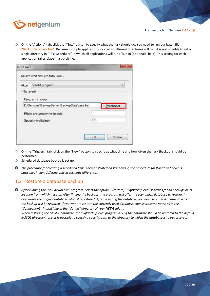

 $\circled{r}$  On the "Actions" tab, click the "New" button to specify what the task should do. You need to run our batch file "**BackupDatabase.bat**". Because multiple applications located in different directories will run, it is not possible to set a single directory in "Task Scheduler" in which all applications will run ("Run in (optional)" field). This setting for each application takes place in a batch file.

| Akce:     | Spustit program                             |           |
|-----------|---------------------------------------------|-----------|
| Nastavení |                                             |           |
|           | Program či skript:                          |           |
|           |                                             |           |
|           | D:\Services\BackupServer\BackupDatabase.bat | Procházet |
|           | Přidat argumenty (volitelné):               |           |

- $\Diamond$  On the "Triggers" tab, click on the "New" button to specify at what time and how often the task (backup) should be performed.
- $\bigcirc$  Scheduled database backup is set up.
- *The procedure for creating a scheduled task is demonstrated on Windows 7, the procedure for Windows Server is basically similar, differing only in cosmetic differences.*

# <span id="page-11-0"></span>1.2 Restore a database backup

*After running the "SqlBackup.exe" program, select the option R (restore). "SqlBackup.exe" searches for all backups in its location from which it is run. After finding the backups, the program will offer the user which database to restore. It overwrites the original database when it is restored. After selecting the database, you need to enter its name to which the backup will be restored. If you want to restore the currently used database, choose its same name as in the "ConnectionString.txt" file in the "Config" directory of your NET Genium.*

*When restoring the MSSQL database, the "SqlBackup.exe" program asks if the database should be restored to the default MSSQL directory, resp. it is possible to specify a specific path to the directory to which the database is to be restored.*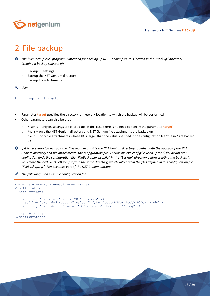

# <span id="page-12-0"></span>2 File backup

- *The "FileBackup.exe" program is intended for backing up NET Genium files. It is located in the "Backup" directory. Creating a backup consists of:*
	- o Backup IIS settings
	- o Backup the NET Genium directory
	- o Backup file attachments

*Use:*

FileBackup.exe [target]

- Parameter **target** specifies the directory or network location to which the backup will be performed.
- Other parameters can also be used:
	- o /iisonly only IIS settings are backed up (in this case there is no need to specify the parameter **target**)
	- o /noiis only the NET Genium directory and NET Genium file attachments are backed up
	- o file.ini only file attachments whose ID is larger than the value specified in the configuration file "file.ini" are backed up
- *If it is necessary to back up other files located outside the NET Genium directory together with the backup of the NET Genium directory and file attachments, the configuration file "FileBackup.exe.config" is used. If the "FileBackup.exe" application finds the configuration file "FileBackup.exe.config" in the "Backup" directory before creating the backup, it will create the archive "FileBackup.zip" in the same directory, which will contain the files defined in this configuration file. "FileBackup.zip" then becomes part of the NET Genium backup.*

*The following is an example configuration file:*

```
<?xml version="1.0" encoding="utf-8" ?>
<configuration>
   <appSettings>
     <add key="directory" value="D:\Services" />
     <add key="excludedirectory" value="D:\Services\CRMService\POP3Downloads" />
     <add key="excludefile" value="D:\Services\CRMService\*.log" />
   </appSettings>
</configuration>
```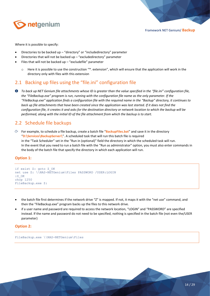

Where it is possible to specify:

- Directories to be backed up "directory" or "includedirectory" parameter
- Directories that will not be backed up  $-$  "excludedirectory" parameter
- Files that will not be backed up "excludefile" parameter
	- $\circ$  Here it is possible to use the construction "\*. extension", which will ensure that the application will work in the directory only with files with this extension

# <span id="page-13-0"></span>2.1 Backing up files using the "file.ini" configuration file

**<sup>O</sup>** To back up NET Genium file attachments whose ID is greater than the value specified in the "file.ini" configuration file, *the "FileBackup.exe" program is run, running with the configuration file name as the only parameter. If the "FileBackup.exe" application finds a configuration file with the required name in the "Backup" directory, it continues to back up file attachments that have been created since the application was last started. If it does not find the configuration file, it creates it and asks for the destination directory or network location to which the backup will be performed, along with the initial ID of the file attachment from which the backup is to start.*

# <span id="page-13-1"></span>2.2 Schedule file backups

For example, to schedule a file backup, create a batch file "**BackupFiles.bat**" and save it in the directory "**D:\Services\BackupServer\**". A scheduled task that will run this batch file is required in the "Task Scheduler" set in the "Run in (optional)" field the directory in which the scheduled task will run. In the event that you need to run a batch file with the "Run as administrator" option, you must also enter commands in the body of the batch file that specify the directory in which each application will run.

#### **Option 1:**

```
if exist Z: goto Z_OK
net use Z: \\NAS-NETGenium\Files PASSWORD /USER:LOGIN
:Z_OK
chcp 1250
FileBackup.exe Z:
```
- the batch file first determines if the network drive "Z" is mapped. If not, it maps it with the "net use" command, and then the "FileBackup.exe" program backs up the files to this network drive.
- if a user name and password are required to access the network location, "LOGIN" and "PASSWORD" are specified instead. If the name and password do not need to be specified, nothing is specified in the batch file (not even the/USER parameter)

#### **Option 2:**

FileBackup.exe \\NAS-NETGenium\Files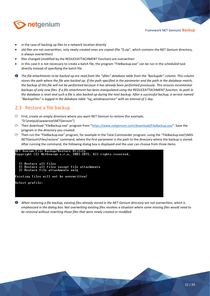

- in the case of backing up files to a network location directly
- old files are not overwritten, only newly created ones are copied (file "0.zip", which contains the NET Genium directory, is always overwritten)
- files changed (modified by the REDUCEATTACHMENT function) are overwritten
- in this case it is not necessary to create a batch file, the program "FileBackup.exe" can be run in the scheduled task directly instead of specifying the batch file
- *The file attachments to be backed up are read from the "sfiles" database table from the "backupdir" column. This column stores the path where the file was backed up. If the path specified in the parameter and the path in the database match, the backup of this file will not be performed because it has already been performed previously. This ensures incremental*  backups of only new files. If a file attachment has been manipulated using the REDUCEATTACHMENT function, its path in *the database is reset and such a file is also backed up during the next backup. After a successful backup, a service named "BackupFiles" is logged in the database table "ng\_windowsservice" with an interval of 1 day.*

# <span id="page-14-0"></span>2.3 Restore a file backup

- $\circled{c}$  First, create an empty directory where you want NET Genium to restore (for example, "D:\Inetpub\wwwroot\NETGenium").
- Then download "FileBackup.exe" program from "<https://www.netgenium.com/download/FileBackup.exe>". Save the program in the directory you created.
- $\circled{r}$  Then run the "FileBackup.exe" program, for example in the Total Commander program, using the "FileBackup.exe\\NAS-NETGenium\Files/restore" command, where the first parameter is the path to the directory where the backup is stored. After running the command, the following dialog box is displayed and the user can choose from three items.



*When restoring a file backup, existing files already stored in the NET Genium directory are not overwritten, which is emphasized in the dialog box. Not overwriting existing files resolves a situation where some missing files would need to be restored without rewriting those files that were newly created or modified.*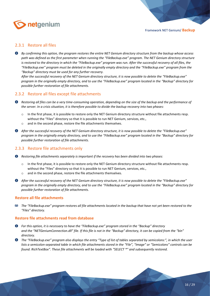

#### <span id="page-15-0"></span>2.3.1 Restore all files

*By confirming this option, the program restores the entire NET Genium directory structure from the backup whose access path was defined as the first parameter when running the "FileBackup.exe" program. The NET Genium directory structure is restored to the directory in which the "FileBackup.exe" program was run. After the successful recovery of all files, the "FileBackup.exe" program must be deleted in the originally empty directory and the "FileBackup.exe" program from the "Backup" directory must be used for any further recovery.*

*After the successful recovery of the NET Genium directory structure, it is now possible to delete the "FileBackup.exe" program in the originally empty directory, and to use the "FileBackup.exe" program located in the "Backup" directory for possible further restoration of file attachments.*

#### <span id="page-15-1"></span>2.3.2 Restore all files except file attachments

- *C Restoring all files can be a very time-consuming operation, depending on the size of the backup and the performance of the server. In a crisis situation, it is therefore possible to divide the backup recovery into two phases:*
	- $\circ$  In the first phase, it is possible to restore only the NET Genium directory structure without file attachments resp. without the "Files" directory so that it is possible to run NET Genium, services, etc.,
	- o and in the second phase, restore the file attachments themselves.
- **O** After the successful recovery of the NET Genium directory structure, it is now possible to delete the "FileBackup.exe" *program in the originally empty directory, and to use the "FileBackup.exe" program located in the "Backup" directory for possible further restoration of file attachments.*

#### <span id="page-15-2"></span>2.3.3 Restore file attachments only

- *Restoring file attachments separately is important if the recovery has been divided into two phases:*
	- $\circ$  In the first phase, it is possible to restore only the NET Genium directory structure without file attachments resp. without the "Files" directory so that it is possible to run NET Genium, services, etc.,
	- and in the second phase, restore the file attachments themselves.
- **O** After the successful recovery of the NET Genium directory structure, it is now possible to delete the "FileBackup.exe" *program in the originally empty directory, and to use the "FileBackup.exe" program located in the "Backup" directory for possible further restoration of file attachments.*

#### **Restore all file attachments**

20 *The "FileBackup.exe" program restores all file attachments located in the backup that have not yet been restored to the "Files" directory.*

#### **Restore file attachments read from database**

- *For this option, it is necessary to have the "FileBackup.exe" program stored in the "Backup" directory and the "NETGeniumConnection.dll" file. If this file is not in the "Backup" directory, it can be copied from the "bin" directory.*
- *The "FileBackup.exe" program also displays the entry "Type of list of tables separated by semicolons:", in which the user lists a semicolon-separated table in which file attachments stored in the "File", "Image" or "Semicolons" controls can be found. RichTextBox". These file attachments will be loaded with "SELECT \*" and subsequently restored.*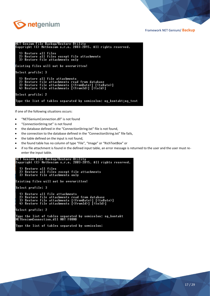

NET Genium File Backup/Restore Utility<br>Copyright (C) NetGenium s.r.o. 2003-2015. All rights reserved. Restore all files<br>Restore all files except file attachments 2) Restore all files except file<br>3) Restore file attachments only Existing files will not be overwritten! Select profile: 3 1) Restore all file attachments nestore all tile attachments<br>Restore file attachments read from database<br>Restore file attachments [<fromDate>] [<toDate>]<br>Restore file attachments [<fromId>] [<toId>]  $2)$  $\overline{3}$ ăž. Select profile: 2 Type the list of tables separated by semicolon: ng\_kontakt;ng\_test

If one of the following situations occurs:

- "NETGeniumConnection.dll" is not found
- "ConnectionString.txt" is not found
- the database defined in the "ConnectionString.txt" file is not found,
- the connection to the database defined in the "ConnectionString.txt" file fails.
- the table defined on the input is not found,
- the found table has no column of type "File", "Image" or "RichTextBox" or
- if no file attachment is found in the defined input table, an error message is returned to the user and the user must reenter the input table.

```
NET Genium File Backup/Restore Utility<br>Copyright (C) NetGenium s.r.o. 2003-2015. All rights reserved.
   1) Restore all files<br>2) Restore all files except file attachments<br>3) Restore file attachments only
Existing files will not be overwritten!
Select profile: 3
        Restore all file attachments
    2) Restore file attachments read from database<br>3) Restore file attachments [<fromDate>] [<toDate>]<br>4) Restore file attachments [<fromDate>] [<toId>]
Select profile: 2
Type the list of tables separated by semicolon: ng_kontakt<br>NETGeniumConnection.dll NOT FOUND
 Type the list of tables separated by semicolon:
```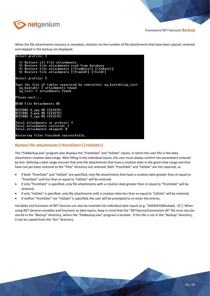

When the file attachments recovery is complete, statistics on the number of file attachments that have been placed, restored and skipped in the backup are displayed.

| Select profile: 3                                                                                                                                                                                                                 |
|-----------------------------------------------------------------------------------------------------------------------------------------------------------------------------------------------------------------------------------|
| 1) Restore all file attachments<br>2) Restore file attachments read from database<br>3) Restore file attachments [ <fromdate>] [<todate>]<br/>4) Restore file attachments [<fromid>] [<toid>]</toid></fromid></todate></fromdate> |
| Select profile: 2                                                                                                                                                                                                                 |
| Type the list of tables separated by semicolon: ng kontakt;ng test <br>ng kontakt: 2 attachments found<br>ng test: 1 attachments found                                                                                            |
| Please wait                                                                                                                                                                                                                       |
| IREAD File Attachments OK                                                                                                                                                                                                         |
| RESTORE 4.ipg OK (EXISTS)<br><b>RESTORE 3.png OK (EXISTS)</b><br>RESTORE 2.ipg OK (EXISTS)                                                                                                                                        |
| Total attachments in archive: 3<br> Total attachments restored: 3<br> Total attachments skipped: 0                                                                                                                                |
| Restoring files finished successfully.                                                                                                                                                                                            |

#### **Restore file attachments [<fromDate>] [<toDate>]**

The "FileBackup.exe" program also displays the "fromDate" and "toDate" inputs, in which the user fills in the data attachment creation data range. After filling in the individual inputs, the user must always confirm the parameters entered by him. Defining a date range ensures that only file attachments that have a creation date in the given time range and that have not yet been restored to the "Files" directory are restored. Both "fromDate" and "toDate" are not required, so

- if both "fromDate" and "toDate" are specified, only file attachments that have a creation date greater than or equal to "fromDate" and less than or equal to "toDate" will be restored.
- if only "fromDate" is specified, only file attachments with a creation date greater than or equal to "fromDate" will be restored,
- if only "toDate" is specified, only file attachments with a creation date less than or equal to "toDate" will be restored,
- if neither "fromDate" nor "toDate" is specified, the user will be prompted to re-enter the entries.

Variables and functions of NET Genium can also be inserted into individual date inputs (e.g. "ADDDAYS(#today#, -2)"). When using NET Genium variables and functions as date inputs, keep in mind that the "NETGeniumConnection.dll" file must also be stored in the "Backup" directory, where the "FileBackup.exe" program is located. If this file is not in the "Backup" directory, it can be copied from the "bin" directory.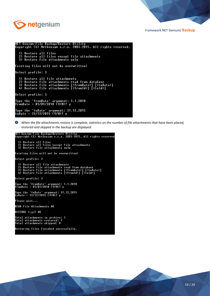

```
NET Genium File Backup/Restore Utility<br>Copyright (C) NetGenium s.r.o. 2003-2015. All rights reserved.
    1) Restore all files<br>2) Restore all files except file attachments<br>3) Restore file attachments only
Existing files will not be overwritten!
Select profile: 3
    1) Restore all file attachments
    1) nestore all Tile attachments<br>2) Restore file attachments read from database<br>3) Restore file attachments [<fromDate>] [<toDate>]<br>4) Restore file attachments [<fromId>] [<toId>]
Select profile: 3
|<br>| Type the 'fromDate' argument: 1.1.2010<br>| fromDate = 01/01/2010 (Y/N)? y
Type the 'toDate' argument: 31.12.2015<br>toDate = 31/12/2015 (Y/N)? y
```
*When the file attachments restore is complete, statistics on the number of file attachments that have been placed, restored and skipped in the backup are displayed.*

```
NET Genium File Backup/Restore Utility<br>Copyright (C) NetGenium s.r.o. 2003-2015. All rights reserved
   1) Restore all files<br>2) Restore all files except file attachments<br>3) Restore file attachments only
Existing files will not be overwritten!
Select profile: 3
   1) Restore all file attachments<br>2) Restore file attachments read from database<br>3) Restore file attachments [<fromDate>] [<toDate>]<br>4) Restore file attachments [<fromId>] [<toId>]
Select profile: 3
Type the 'fromDate' argument: 1.1.2010<br>fromDate = 01/01/2010 (Y/N)? y
Type the 'toDate' argument: 31.12.2015<br>toDate = 31/12/2015 (Y/N)? y
Please wait...
READ File Attachments OK
RESTORE 1.gif OK
Total attachments in archive: 1<br>Total attachments restored: 1<br>Total attachments skipped: 0
Restoring files finished successfully.
```
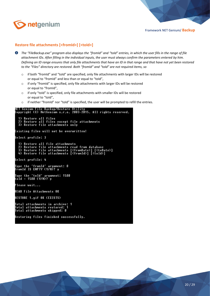

#### **Restore file attachments [<fromId>] [<toId>]**

- *The "FileBackup.exe" program also displays the "fromId" and "toId" entries, in which the user fills in the range of file attachment IDs. After filling in the individual inputs, the user must always confirm the parameters entered by him. Defining an ID range ensures that only file attachments that have an ID in that range and that have not yet been restored to the "Files" directory are restored. Both "fromId" and "toId" are not required items, so*
	- o if both "fromId" and "toId" are specified, only file attachments with larger IDs will be restored or equal to "fromId" and less than or equal to "toId",
	- o if only "fromId" is specified, only file attachments with larger IDs will be restored or equal to "fromId",
	- $\circ$  if only "toId" is specified, only file attachments with smaller IDs will be restored or equal to "toId",
	- o if neither "fromId" nor "toId" is specified, the user will be prompted to refill the entries.

```
NET Genium File Backup/Restore Utility<br>Copyright (C) NetGenium s.r.o. 2003-2015. All rights reserved.
   1) Restore all files<br>2) Restore all files except file attachments<br>3) Restore file attachments only
Existing files will not be overwritten!
Select profile: 3
       Restore all file attachments<br>Restore file attachments read from database<br>Restore file attachments [<fromDate>] [<toDate>]<br>Restore file attachments [<fromId>] [<toId>]
    1)ልነ
Select profile: 4
Type the 'fromId' argument<mark>: 0</mark><br>fromId IS EMPTY (Y/N)? y
Type the 'toId' argument<mark>: 1500</mark><br>toId = 1500 (Y/N)? y
Please wait...
READ File Attachments OK
RESTORE 1.gif OK (EXISTS)
Total attachments in archive: 1<br>Total attachments restored: 1<br>Total attachments skipped: 0
Restoring files finished successfully.
```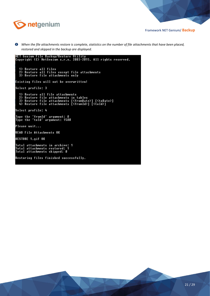

 $\bf o$ When the file attachments restore is complete, statistics on the number of file attachments that have been placed, *restored and skipped in the backup are displayed.*

```
NET Genium File Backup/Restore Utility<br>Copyright (C) NetGenium s.r.o. 2003–2015. All rights reserved.
    1) Restore all files<br>2) Restore all files except file attachments<br>3) Restore file attachments only
Existing files will not be overwritten!
Select profile: 3
    1) Restore all file attachments<br>2) Restore file attachments in tables<br>3) Restore file attachments [<fromDate>] [<toDate>]<br>4) Restore file attachments [<fromId>] [<toId>]
 Select profile: 4
 |<br>|Type the 'fromId' argument: 0<br>|Type the 'toId' argument: 1500
Please wait...
 READ File Attachments OK
RESTORE 1.gif OK
|<br>|Total attachments in archive: 1<br>|Total attachments skipped: 0<br>|Total attachments skipped: 0
Restoring files finished successfully.
```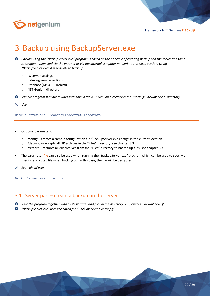

# <span id="page-21-0"></span>3 Backup using BackupServer.exe

 $\bullet$ *Backup using the "BackupServer.exe" program is based on the principle of creating backups on the server and their subsequent download via the Internet or via the internal computer network to the client station. Using "BackupServer.exe" it is possible to back up:*

- o IIS server settings
- o Indexing Service settings
- o Database (MSSQL, Firebird)
- o NET Genium directory

*Sample program files are always available in the NET Genium directory in the "Backup\BackupServer" directory.*

#### *Use:*

BackupServer.exe [/config][/decrypt][/restore]

- Optional parameters:
	- o /config creates a sample configuration file "BackupServer.exe.config" in the current location
	- o /decrypt decrypts all ZIP archives in the "Files" directory, see chapter 3.3
	- o /restore restores all ZIP archives from the "Files" directory to backed up files, see chapter 3.3
- The parameter **file** can also be used when running the "BackupServer.exe" program which can be used to specify a specific encrypted file when backing up. In this case, the file will be decrypted.

*Example of use:*

BackupServer.exe file.zip

## <span id="page-21-1"></span>3.1 Server part – create a backup on the server

*Save the program together with all its libraries and files in the directory "D:\Services\BackupServer\"*

*"BackupServer.exe" uses the saved file "BackupServer.exe.config".*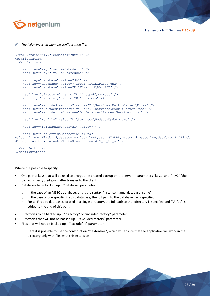

#### *The following is an example configuration file:*

```
<?xml version="1.0" encoding="utf-8" ?>
<configuration>
   <appSettings>
     <add key="key1" value="abcdefgh" />
     <add key="key2" value="hgfedcba" />
     <add key="database" value="db1" />
     <add key="database" value="(local)\SQLEXPRESS|db2" />
     <add key="database" value="D:\Firebird\DB3.FDB" />
     <add key="directory" value="D:\Inetpub\wwwroot" />
    <add key="directory" value="D:\Services" />
     <add key="excludedirectory" value="D:\Services\BackupServer\Files" />
     <add key="excludedirectory" value="D:\Services\BackupServer\Temp" />
     <add key="excludefile" value="D:\Services\PaymentService\*.log" /> 
     <add key="runfile" value="D:\Services\Update\Update.exe" />
     <add key="fullbackupinterval" value="7" />
     <add key="logServiceConnectionString" 
value="driver=firebird;datasource=localhost;user=SYSDBA;password=masterkey;database=D:\Firebir
d\netgenium.fdb;charset=WIN1250;collation=WIN_CZ_CI_AI" />
   </appSettings>
</configuration>
```
#### Where it is possible to specify:

- One pair of keys that will be used to encrypt the created backup on the server parameters "key1" and "key2" (the backup is decrypted again after transfer to the client)
- Databases to be backed up  $-$  "database" parameter
	- o In the case of an MSSQL database, this is the syntax "instance\_name|database\_name"
	- o In the case of one specific Firebird database, the full path to the database file is specified
	- o For all Firebird databases located in a single directory, the full path to that directory is specified and "\\*.fdb" is added to the end of this path.
- Directories to be backed up "directory" or "includedirectory" parameter
- Directories that will not be backed up  $-$  "excludedirectory" parameter
- Files that will not be backed up "excludefile" parameter
	- o Here it is possible to use the construction "\*.extension", which will ensure that the application will work in the directory only with files with this extension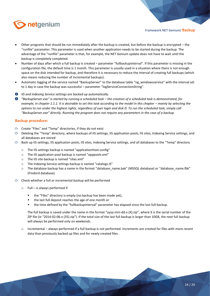

- Other programs that should be run immediately after the backup is created, but before the backup is encrypted the "runfile" parameter. This parameter is used when another application needs to be started during the backup. The advantage of the "runfile" parameter is that, for example, the NET Genium update does not have to wait until the backup is completely completed.
- Number of days after which a full backup is created parameter "fullbackupinterval". If this parameter is missing in the configuration file, the default time is 1 month. This parameter is usually used in a situation where there is not enough space on the disk intended for backup, and therefore it is necessary to reduce the interval of creating full backups (which also means reducing the number of incremental backups).
- Automatic logging of the service named "BackupServer" to the database table "ng\_windowsservice" with the interval set to 1 day in case the backup was successful – parameter "logServiceConnectionString".
- *IIS and Indexing Service settings are backed up automatically.*
- *"BackupServer.exe" is started by running a scheduled task – the creation of a scheduled task is demonstrated, for example, in chapter 1.1.1. It is desirable to set this task according to the model in this chapter – mainly by selecting the options to run under the highest rights, regardless of user login and disk D. To run the scheduled task, simply call "BackupServer.exe" directly. Running the program does not require any parameters in the case of a backup.*

#### **Backup procedure:**

- $\hat{\sigma}$  Create "Files" and "Temp" directories, if they do not exist
- $\circ$  Deleting the "Temp" directory, where backups of IIS settings, IIS application pools, IIS sites, Indexing Service settings, and all databases are stored
- $\circ$  Back up IIS settings, IIS application pools, IIS sites, Indexing Service settings, and all databases to the "Temp" directory
	- o The IIS settings backup is named "applicationHost.config"
	- o The IIS application pool backup is named "apppools.xml"
	- o The IIS site backup is named "sites.xml"
	- o The Indexing Service settings backup is named "catalogs.IS"
	- $\circ$  The database backup has a name in the format "database name.bak" (MSSQL database) or "database name.fbk" (Firebird database)
- Check whether a full or incremental backup will be performed
	- $\circ$  Full is always performed if
		- the "Files" directory is empty (no backup has been made yet),
		- the last full deposit reaches the age of one month or
		- the time defined by the "fullbackupinterval" parameter has elapsed since the last full backup.

The full backup is saved under the name in the format "yyyy-mm-dd-x (X).zip", where X is the serial number of the ZIP file (ie "2014-02-06-x (35).zip"). If the total size of the last full backup is larger than 10GB, the next full backup will always be performed only on weekends.

o Incremental – always performed if a full backup is not performed. Increments are created for files with more recent data than previously backed up files and for newly created files.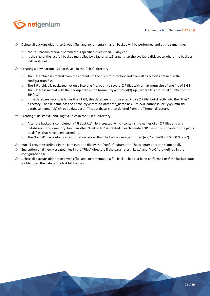

- $\circled{c}$  Delete all backups older than 1 week (full and incremental) if a full backup will be performed and at the same time:
	- o the "fullbackupinterval" parameter is specified is less than 30 days or
	- o is the size of the last full backup multiplied by a factor of 1.5 larger than the available disk space where the backups will be stored.
- $\circled{c}$  Creating a new backup ZIP archive in the "Files" directory
	- o The ZIP archive is created from the contents of the "Temp" directory and from all directories defined in the configuration file.
	- o The ZIP archive is packaged not only into one file, but into several ZIP files with a maximum size of one file of 1 GB. The ZIP file is named with the backup date in the format "yyyy-mm-dd(X).zip", where X is the serial number of the ZIP file.
	- $\circ$  If the database backup is larger than 1 GB, this database is not inserted into a ZIP file, but directly into the "Files" directory. The file name has the name "yyyy-mm-dd-database\_name.bak" (MSSQL database) or "yyyy-mm-dddatabase\_name.fbk" (Firebird database). This database is then deleted from the "Temp" directory.
- Creating "FileList.txt" and "log.txt" files in the "Files" directory
	- o After the backup is completed, a "FileList.txt" file is created, which contains the names of all ZIP files and any databases in this directory. Next, another "FileList.txt" is created in each created ZIP file – this list contains the paths to all files that have been backed up.
	- o The "log.txt" file contains an information record that the backup was performed (e.g. "2014-01-01 05:00:00 OK").
- $\Diamond$  Run all programs defined in the configuration file by the "runfile" parameter. The programs are run sequentially
- Encryption of all newly created files in the "Files" directory if the parameters "key1" and "key2" are defined in the configuration file
- $\circled{r}$  Delete all backups older than 1 week (full and incremental) if a full backup has just been performed or if the backup date is older than the date of the last full backup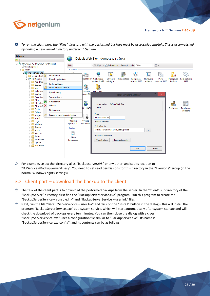

 $\bullet$ *To run the client part, the "Files" directory with the performed backups must be accessible remotely. This is accomplished by adding a new virtual directory under NET Genium.*



For example, select the directory alias "backupserver298" or any other, and set its location to "D:\Services\BackupServer\Files\". You need to set read permissions for this directory in the "Everyone" group (in the normal Windows rights settings).

## <span id="page-25-0"></span>3.2 Client part – download the backup to the client

- The task of the client part is to download the performed backups from the server. In the "Client" subdirectory of the "BackupServer" directory, first find the "BackupServerService.exe" program. Run this program to create the "BackupServerService – console.lnk" and "BackupServerService – user.lnk" files.
- Next, run the file "BackupServerService – user.lnk" and click on the "Install" button in the dialog – this will install the program "BackupServerService.exe" as a system service, which will start automatically after system startup and will check the download of backups every ten minutes. You can then close the dialog with a cross. "BackupServerService.exe" uses a configuration file similar to "BackupServer.exe". Its name is "BackupServerService.exe.config", and its contents can be as follows: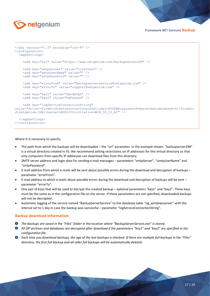

```
<?xml version="1.0" encoding="utf-8" ?>
<configuration>
   <appSettings>
     <add key="url" value="https://www.netgenium.com/backupserver298" />
     <add key="smtpServer" value="localhost" />
     <add key="smtpUserName" value="" />
     <add key="smtpPassword" value="" />
     <add key="errorFrom" value="backupserverservice@netgenium.com" />
     <add key="errorTo" value="support@netgenium.com" />
     <add key="key1" value="abcdefgh" />
     <add key="key2" value="hgfedcba" />
     <add key="logServiceConnectionString" 
value="driver=firebird;datasource=localhost;user=SYSDBA;password=masterkey;database=D:\Firebir
d\netgenium.fdb;charset=WIN1250;collation=WIN_CZ_CI_AI" />
   </appSettings>
</configuration>
```
Where it is necessary to specify:

- The path from which the backups will be downloaded the "url" parameter. In the example shown, "backupserver298" is a virtual directory created in IIS. We recommend setting restrictions on IP addresses for this virtual directory so that only computers from specific IP addresses can download files from this directory.
- SMTP server address and login data for sending e-mail messages parameters "smtpServer", "smtpUserName" and "smtpPassword".
- E-mail address from which e-mails will be sent about possible errors during the download and decryption of backups parameter "errorFrom".
- E-mail address to which e-mails about possible errors during the download and decryption of backups will be sent parameter "errorTo".
- One pair of keys that will be used to decrypt the created backup optional parameters "key1" and "key2". These keys must be the same as in the configuration file on the server. If these parameters are not specified, downloaded backups will not be decrypted.
- Automatic logging of the service named "BackupServerService" to the database table "ng\_windowsserver" with the interval set to 1 day in case the backup was successful – parameter "logServiceConnectionString".

#### **Backup download information:**

- *The backups are saved in the "Files" folder in the location where "BackupServerService.exe" is stored.*
- *All ZIP archives and databases are decrypted after download if the parameters "key1" and "key2" are specified in the configuration file.*
- **O** Each time you download backups, the age of the last backups is checked. If there are multiple full backups in the "Files" *directory, the first full backup and all older full backups will be automatically deleted.*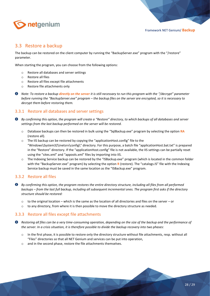

# <span id="page-27-0"></span>3.3 Restore a backup

The backup can be restored on the client computer by running the "BackupServer.exe" program with the "/restore" parameter.

When starting the program, you can choose from the following options:

- o Restore all databases and server settings
- o Restore all files
- o Restore all files except file attachments
- o Restore file attachments only
- **<sup>O</sup>** Note: To restore a backup directly on the server it is still necessary to run this program with the "/decrypt" parameter *before running the "BackupServer.exe" program – the backup files on the server are encrypted, so it is necessary to decrypt them before restoring them.*

#### <span id="page-27-1"></span>3.3.1 Restore all databases and server settings

- *By confirming this option, the program will create a "Restore" directory, to which backups of all databases and server settings from the last backup performed on the server will be restored.*
	- o Database backups can then be restored in bulk using the "SqlBackup.exe" program by selecting the option **RA** (restore all).
	- $\circ$  The IIS backup can be restored by copying the "applicationHost.config" file to the "Windows\System32\inetsrv\config\" directory. For this purpose, a batch file "applicationHost.bat.txt" is prepared in the "Restore" directory. If the "applicationHost.config" file is not available, the IIS settings can be partially reset using the "sites.xml" and "appools.xml" files by importing into IIS.
	- o The Indexing Service backup can be restored by the "ISBackup.exe" program (which is located in the common folder with the "BackupServer.exe" program) by selecting the option **R** (restore). The "catalogs.IS" file with the Indexing Service backup must be saved in the same location as the "ISBackup.exe" program.

#### <span id="page-27-2"></span>3.3.2 Restore all files

- *By confirming this option, the program restores the entire directory structure, including all files from all performed backups – from the last full backup, including all subsequent incremental ones. The program first asks if the directory structure should be restored:*
	- $\circ$  to the original location which is the same as the location of all directories and files on the server or
	- $\circ$  to any directory, from where it is then possible to move the directory structure as needed.

#### <span id="page-27-3"></span>3.3.3 Restore all files except file attachments

*C Restoring all files can be a very time-consuming operation, depending on the size of the backup and the performance of the server. In a crisis situation, it is therefore possible to divide the backup recovery into two phases:*

- o In the first phase, it is possible to restore only the directory structure without file attachments, resp. without all "Files" directories so that all NET Genium and services can be put into operation,
- o and in the second phase, restore the file attachments themselves.